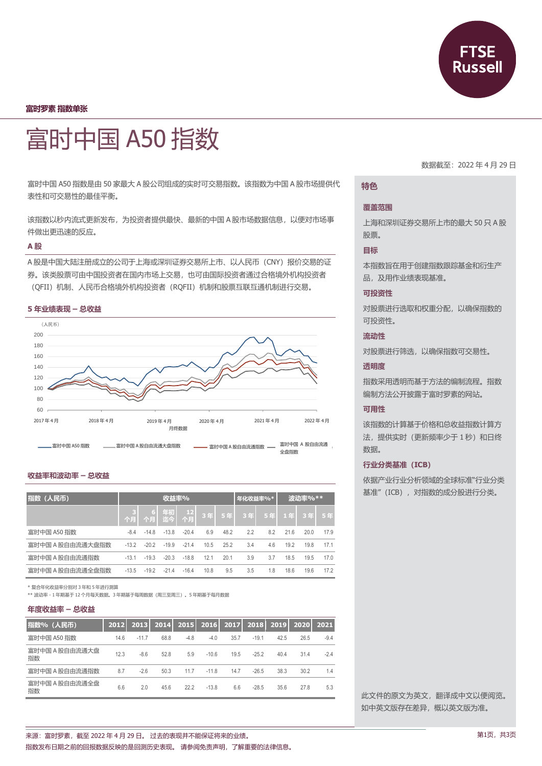

**富时罗素 指数单张**



富时中国 A50 指数是由 50 家最大 A 股公司组成的实时可交易指数。该指数为中国 A 股市场提供代 表性和可交易性的最佳平衡。

该指数以秒内流式更新发布,为投资者提供最快、最新的中国 A 股市场数据信息,以便对市场事 件做出更迅速的反应。

#### **A 股**

A 股是中国大陆注册成立的公司于上海或深圳证券交易所上市、以人民币(CNY)报价交易的证 券。该类股票可由中国投资者在国内市场上交易,也可由国际投资者通过合格境外机构投资者 (QFII) 机制、人民币合格境外机构投资者 (RQFII) 机制和股票互联互通机制进行交易。

#### **5 年业绩表现 – 总收益**



#### **收益率和波动率 – 总收益**

| 指数(人民币)          | 收益率%    |         |             |            |      |      | 年化收益率%* |       | 波动率%** |                |      |
|------------------|---------|---------|-------------|------------|------|------|---------|-------|--------|----------------|------|
|                  | 个月      | 6       | 年初<br>个月 迄今 | $12$<br>个月 | 3年   | 5年   | 3年      | $5$ 年 | 1年     | 3 <sup>4</sup> | 5年   |
| 富时中国 A50 指数      | $-8.4$  | $-14.8$ | $-13.8$     | $-20.4$    | 6.9  | 48.2 | 2.2     | 8.2   | 21.6   | 20.0           | 17.9 |
| 富时中国 A 股自由流通大盘指数 | $-13.2$ | $-202$  | $-19.9$     | $-21.4$    | 10.5 | 25.2 | 3.4     | 4.6   | 19.2   | 19.8           | 171  |
| 富时中国A股自由流通指数     | $-13.1$ | $-19.3$ | $-20.3$     | $-18.8$    | 12.1 | 20.1 | 3.9     | 3.7   | 18.5   | 19.5           | 17.0 |
| 富时中国A股自由流通全盘指数   | $-13.5$ | $-19.2$ | $-21.4$     | $-16.4$    | 10.8 | 9.5  | 3.5     | 1.8   | 18.6   | 19.6           | 17.2 |

\* 复合年化收益率分别对 3 年和 5 年进行测算

\*\* 波动率 - 1 年期基于 12 个月每天数据。3 年期基于每周数据(周三至周三)。5 年期基于每月数据

#### **年度收益率 – 总收益**

| 指数% (人民币)          | 2012 | 2013    |      |        |         |      | 2014 2015 2016 2017 2018 2019 |      | 2020 | 2021   |
|--------------------|------|---------|------|--------|---------|------|-------------------------------|------|------|--------|
| 富时中国 A50 指数        | 14.6 | $-11.7$ | 68.8 | $-4.8$ | $-4.0$  | 35.7 | $-19.1$                       | 42.5 | 26.5 | $-9.4$ |
| 富时中国A股自由流通大盘<br>指数 | 12.3 | $-8.6$  | 52.8 | 5.9    | $-10.6$ | 19.5 | $-25.2$                       | 40.4 | 31.4 | $-2.4$ |
| 富时中国A股自由流通指数       | 8.7  | $-2.6$  | 50.3 | 11.7   | $-11.8$ | 14.7 | $-26.5$                       | 38.3 | 30.2 | 1.4    |
| 富时中国A股自由流通全盘<br>指数 | 6.6  | 2.0     | 45.6 | 22.2   | $-13.8$ | 6.6  | $-28.5$                       | 35.6 | 27.8 | 5.3    |

数据截至:2022 年 4 月 29 日

#### **特色**

#### **覆盖范围**

上海和深圳证券交易所上市的最大 50 只 A 股 股票。

#### **目标**

本指数旨在用于创建指数跟踪基金和衍生产 品,及用作业绩表现基准。

### **可投资性**

对股票进行选取和权重分配,以确保指数的 可投资性。

#### **流动性**

对股票进行筛选,以确保指数可交易性。

#### **透明度**

指数采用透明而基于方法的编制流程。指数 编制方法公开披露于富时罗素的网站。

### **可用性**

该指数的计算基于价格和总收益指数计算方 法, 提供实时(更新频率少于 1 秒)和日终 数据。

#### **行业分类基准(ICB)**

依据产业行业分析领域的全球标准"行业分类 基准"(ICB),对指数的成分股进行分类。

此文件的原文为英文,翻译成中文以便阅览。 如中英文版存在差异,概以英文版为准。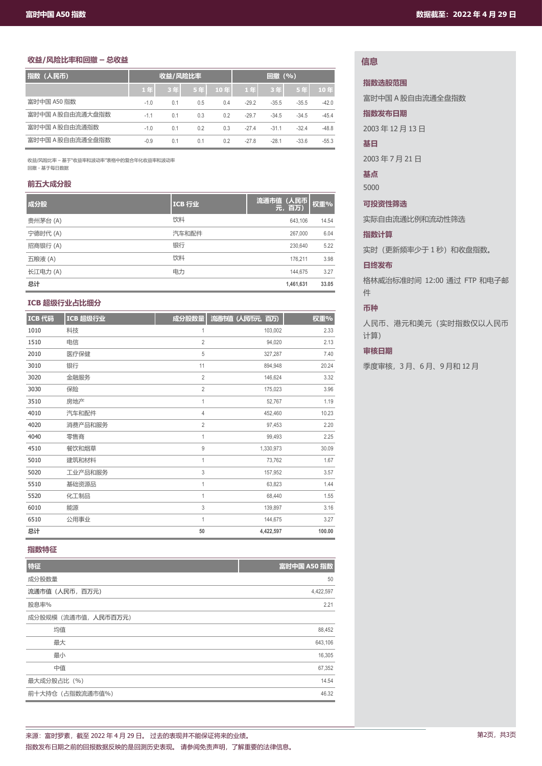## **收益/风险比率和回撤 – 总收益**

| 指数 (人民币)         | 收益/风险比率 |     |       |     | 回撤 (%)   |         |         |         |
|------------------|---------|-----|-------|-----|----------|---------|---------|---------|
|                  | 1年      | 3年  | $5$ 年 | 10年 | $1$ $\#$ | $3$ 年   | 5年      | 10年     |
| 富时中国 A50 指数      | $-1.0$  | 0.1 | 0.5   | 0.4 | $-29.2$  | $-35.5$ | $-35.5$ | $-42.0$ |
| 富时中国A股自由流通大盘指数   | $-1.1$  | 0.1 | 0.3   | 0.2 | $-29.7$  | $-34.5$ | $-34.5$ | $-45.4$ |
| 富时中国 A 股自由流通指数   | $-1.0$  | 0.1 | 0.2   | 0.3 | $-274$   | $-31.1$ | $-32.4$ | $-48.8$ |
| 富时中国 A 股自由流通全盘指数 | $-0.9$  | 0.1 | 0.1   | 0.2 | $-27.8$  | $-28.1$ | $-33.6$ | $-55.3$ |

收益/风险比率 – 基于"收益率和波动率"表格中的复合年化收益率和波动率 回撤 - 基于每日数据

## **前五大成分股**

| 成分股      | ICB 行业 | 流通市值(人民币<br>元,百万) | 权重%   |
|----------|--------|-------------------|-------|
| 贵州茅台(A)  | 饮料     | 643.106           | 14.54 |
| 宁德时代(A)  | 汽车和配件  | 267.000           | 6.04  |
| 招商银行(A)  | 银行     | 230.640           | 5.22  |
| 五粮液 (A)  | 饮料     | 176.211           | 3.98  |
| 长江电力 (A) | 电力     | 144.675           | 3.27  |
| 总计       |        | 1,461,631         | 33.05 |

## **ICB 超级行业占比细分**

| ICB 代码 | ICB 超级行业 | 成分股数量          | 流通市值 (人民币元,百万) | 权重%    |
|--------|----------|----------------|----------------|--------|
| 1010   | 科技       | 1              | 103,002        | 2.33   |
| 1510   | 电信       | $\overline{2}$ | 94,020         | 2.13   |
| 2010   | 医疗保健     | 5              | 327,287        | 7.40   |
| 3010   | 银行       | 11             | 894,948        | 20.24  |
| 3020   | 金融服务     | $\overline{2}$ | 146,624        | 3.32   |
| 3030   | 保险       | $\overline{2}$ | 175,023        | 3.96   |
| 3510   | 房地产      | 1              | 52,767         | 1.19   |
| 4010   | 汽车和配件    | 4              | 452,460        | 10.23  |
| 4020   | 消费产品和服务  | $\overline{2}$ | 97,453         | 2.20   |
| 4040   | 零售商      | 1              | 99,493         | 2.25   |
| 4510   | 餐饮和烟草    | 9              | 1,330,973      | 30.09  |
| 5010   | 建筑和材料    | 1              | 73,762         | 1.67   |
| 5020   | 工业产品和服务  | 3              | 157,952        | 3.57   |
| 5510   | 基础资源品    | 1              | 63,823         | 1.44   |
| 5520   | 化工制品     | 1              | 68,440         | 1.55   |
| 6010   | 能源       | 3              | 139,897        | 3.16   |
| 6510   | 公用事业     | 1              | 144,675        | 3.27   |
| 总计     |          | 50             | 4,422,597      | 100.00 |

## **指数特征**

| 特征                   | 富时中国 A50 指数 |
|----------------------|-------------|
| 成分股数量                | 50          |
| 流通市值(人民币,百万元)        | 4,422,597   |
| 股息率%                 | 2.21        |
| 成分股规模 (流通市值, 人民币百万元) |             |
| 均值                   | 88,452      |
| 最大                   | 643,106     |
| 最小                   | 16,305      |
| 中值                   | 67,352      |
| 最大成分股占比 (%)          | 14.54       |
| 前十大持仓 (占指数流通市值%)     | 46.32       |

## **信息**

**指数选股范围** 富时中国 A 股自由流通全盘指数 **指数发布日期**

2003 年 12 月 13 日

## **基日**

2003 年 7 月 21 日

**基点**

5000

## **可投资性筛选**

实际自由流通比例和流动性筛选

### **指数计算**

实时(更新频率少于 1 秒)和收盘指数。

## **日终发布**

格林威治标准时间 12:00 通过 FTP 和电子邮 件

### **币种**

人民币、港元和美元(实时指数仅以人民币 计算)

### **审核日期**

季度审核,3 月、6 月、9 月和 12 月